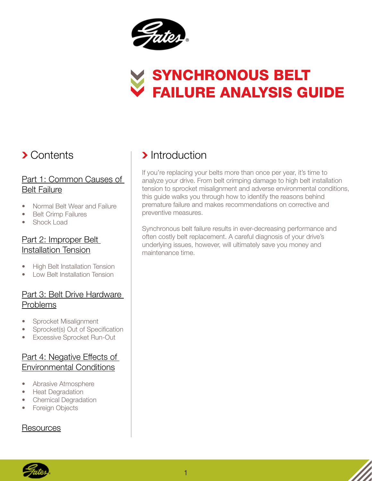

# Synchronous Belt Failure Analysis Guide

### **> Contents**

#### [Part 1: Common Causes of](#page-1-0)  Belt Failure

- [Normal Belt Wear and Failure](#page-1-0)
- [Belt Crimp Failures](#page-1-0)
- [Shock Load](#page-2-0)

#### [Part 2: Improper Belt](#page-3-0)  Installation Tension

- **[High Belt Installation Tension](#page-3-0)**
- **[Low Belt Installation Tension](#page-3-0)**

#### [Part 3: Belt Drive Hardware](#page-4-0)  Problems

- [Sprocket Misalignment](#page-4-0)
- [Sprocket\(s\) Out of Specification](#page-5-0)
- [Excessive Sprocket Run-Out](#page-6-0)

#### [Part 4: Negative Effects of](#page-6-0)  Environmental Conditions

- [Abrasive Atmosphere](#page-6-0)
- **[Heat Degradation](#page-6-0)**
- **[Chemical Degradation](#page-7-0)**
- **[Foreign Objects](#page-7-0)**

#### [Resources](#page-7-0)

# > Introduction

If you're replacing your belts more than once per year, it's time to analyze your drive. From belt crimping damage to high belt installation tension to sprocket misalignment and adverse environmental conditions, this guide walks you through how to identify the reasons behind premature failure and makes recommendations on corrective and preventive measures.

Synchronous belt failure results in ever-decreasing performance and often costly belt replacement. A careful diagnosis of your drive's underlying issues, however, will ultimately save you money and maintenance time.

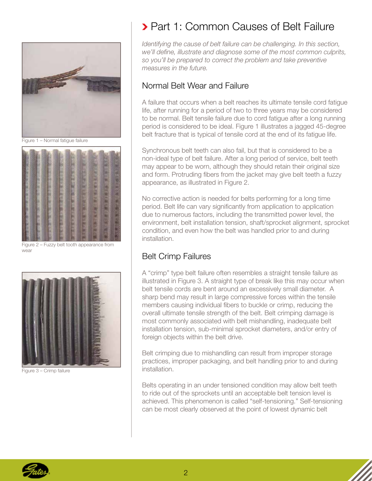<span id="page-1-0"></span>

Figure 1 – Normal fatigue failure



Figure 2 – Fuzzy belt tooth appearance from wear



Figure 3 – Crimp failure

# **> Part 1: Common Causes of Belt Failure**

*Identifying the cause of belt failure can be challenging. In this section, we'll define, illustrate and diagnose some of the most common culprits, so you'll be prepared to correct the problem and take preventive measures in the future.*

#### Normal Belt Wear and Failure

A failure that occurs when a belt reaches its ultimate tensile cord fatigue life, after running for a period of two to three years may be considered to be normal. Belt tensile failure due to cord fatigue after a long running period is considered to be ideal. Figure 1 illustrates a jagged 45-degree belt fracture that is typical of tensile cord at the end of its fatigue life.

Synchronous belt teeth can also fail, but that is considered to be a non-ideal type of belt failure. After a long period of service, belt teeth may appear to be worn, although they should retain their original size and form. Protruding fibers from the jacket may give belt teeth a fuzzy appearance, as illustrated in Figure 2.

No corrective action is needed for belts performing for a long time period. Belt life can vary significantly from application to application due to numerous factors, including the transmitted power level, the environment, belt installation tension, shaft/sprocket alignment, sprocket condition, and even how the belt was handled prior to and during installation.

#### Belt Crimp Failures

A "crimp" type belt failure often resembles a straight tensile failure as illustrated in Figure 3. A straight type of break like this may occur when belt tensile cords are bent around an excessively small diameter. A sharp bend may result in large compressive forces within the tensile members causing individual fibers to buckle or crimp, reducing the overall ultimate tensile strength of the belt. Belt crimping damage is most commonly associated with belt mishandling, inadequate belt installation tension, sub-minimal sprocket diameters, and/or entry of foreign objects within the belt drive.

Belt crimping due to mishandling can result from improper storage practices, improper packaging, and belt handling prior to and during installation.

Belts operating in an under tensioned condition may allow belt teeth to ride out of the sprockets until an acceptable belt tension level is achieved. This phenomenon is called "self-tensioning." Self-tensioning can be most clearly observed at the point of lowest dynamic belt

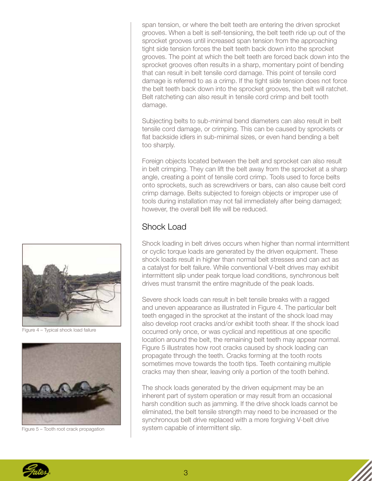<span id="page-2-0"></span>span tension, or where the belt teeth are entering the driven sprocket grooves. When a belt is self-tensioning, the belt teeth ride up out of the sprocket grooves until increased span tension from the approaching tight side tension forces the belt teeth back down into the sprocket grooves. The point at which the belt teeth are forced back down into the sprocket grooves often results in a sharp, momentary point of bending that can result in belt tensile cord damage. This point of tensile cord damage is referred to as a crimp. If the tight side tension does not force the belt teeth back down into the sprocket grooves, the belt will ratchet. Belt ratcheting can also result in tensile cord crimp and belt tooth damage.

Subjecting belts to sub-minimal bend diameters can also result in belt tensile cord damage, or crimping. This can be caused by sprockets or flat backside idlers in sub-minimal sizes, or even hand bending a belt too sharply.

Foreign objects located between the belt and sprocket can also result in belt crimping. They can lift the belt away from the sprocket at a sharp angle, creating a point of tensile cord crimp. Tools used to force belts onto sprockets, such as screwdrivers or bars, can also cause belt cord crimp damage. Belts subjected to foreign objects or improper use of tools during installation may not fail immediately after being damaged; however, the overall belt life will be reduced.

#### Shock Load

Shock loading in belt drives occurs when higher than normal intermittent or cyclic torque loads are generated by the driven equipment. These shock loads result in higher than normal belt stresses and can act as a catalyst for belt failure. While conventional V-belt drives may exhibit intermittent slip under peak torque load conditions, synchronous belt drives must transmit the entire magnitude of the peak loads.

Severe shock loads can result in belt tensile breaks with a ragged and uneven appearance as illustrated in Figure 4. The particular belt teeth engaged in the sprocket at the instant of the shock load may also develop root cracks and/or exhibit tooth shear. If the shock load occurred only once, or was cyclical and repetitious at one specific location around the belt, the remaining belt teeth may appear normal. Figure 5 illustrates how root cracks caused by shock loading can propagate through the teeth. Cracks forming at the tooth roots sometimes move towards the tooth tips. Teeth containing multiple cracks may then shear, leaving only a portion of the tooth behind.

The shock loads generated by the driven equipment may be an inherent part of system operation or may result from an occasional harsh condition such as jamming. If the drive shock loads cannot be eliminated, the belt tensile strength may need to be increased or the synchronous belt drive replaced with a more forgiving V-belt drive system capable of intermittent slip.



Figure 4 – Typical shock load failure



Figure 5 – Tooth root crack propagation

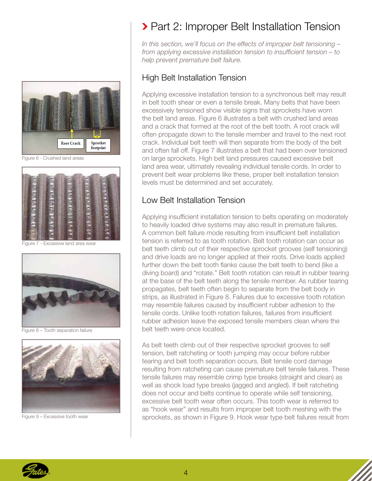<span id="page-3-0"></span>

Figure 6 - Crushed land areas



Figure 7 - Excessive land area wear



Figure 8 – Tooth separation failure



Figure 9 – Excessive tooth wear

# **> Part 2: Improper Belt Installation Tension**

*In this section, we'll focus on the effects of improper belt tensioning – from applying excessive installation tension to insufficient tension – to help prevent premature belt failure.* 

#### High Belt Installation Tension

Applying excessive installation tension to a synchronous belt may result in belt tooth shear or even a tensile break. Many belts that have been excessively tensioned show visible signs that sprockets have worn the belt land areas. Figure 6 illustrates a belt with crushed land areas and a crack that formed at the root of the belt tooth. A root crack will often propagate down to the tensile member and travel to the next root crack. Individual belt teeth will then separate from the body of the belt and often fall off. Figure 7 illustrates a belt that had been over tensioned on large sprockets. High belt land pressures caused excessive belt land area wear, ultimately revealing individual tensile cords. In order to prevent belt wear problems like these, proper belt installation tension levels must be determined and set accurately.

#### Low Belt Installation Tension

Applying insufficient installation tension to belts operating on moderately to heavily loaded drive systems may also result in premature failures. A common belt failure mode resulting from insufficient belt installation tension is referred to as tooth rotation. Belt tooth rotation can occur as belt teeth climb out of their respective sprocket grooves (self tensioning) and drive loads are no longer applied at their roots. Drive loads applied further down the belt tooth flanks cause the belt teeth to bend (like a diving board) and "rotate." Belt tooth rotation can result in rubber tearing at the base of the belt teeth along the tensile member. As rubber tearing propagates, belt teeth often begin to separate from the belt body in strips, as illustrated in Figure 8. Failures due to excessive tooth rotation may resemble failures caused by insufficient rubber adhesion to the tensile cords. Unlike tooth rotation failures, failures from insufficient rubber adhesion leave the exposed tensile members clean where the belt teeth were once located.

As belt teeth climb out of their respective sprocket grooves to self tension, belt ratcheting or tooth jumping may occur before rubber tearing and belt tooth separation occurs. Belt tensile cord damage resulting from ratcheting can cause premature belt tensile failures. These tensile failures may resemble crimp type breaks (straight and clean) as well as shock load type breaks (jagged and angled). If belt ratcheting does not occur and belts continue to operate while self tensioning, excessive belt tooth wear often occurs. This tooth wear is referred to as "hook wear" and results from improper belt tooth meshing with the sprockets, as shown in Figure 9. Hook wear type belt failures result from

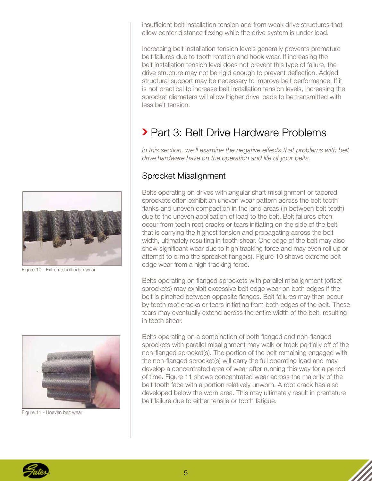<span id="page-4-0"></span>insufficient belt installation tension and from weak drive structures that allow center distance flexing while the drive system is under load.

Increasing belt installation tension levels generally prevents premature belt failures due to tooth rotation and hook wear. If increasing the belt installation tension level does not prevent this type of failure, the drive structure may not be rigid enough to prevent deflection. Added structural support may be necessary to improve belt performance. If it is not practical to increase belt installation tension levels, increasing the sprocket diameters will allow higher drive loads to be transmitted with less belt tension.

# Part 3: Belt Drive Hardware Problems

In this section, we'll examine the negative effects that problems with belt *drive hardware have on the operation and life of your belts.*

#### Sprocket Misalignment

Belts operating on drives with angular shaft misalignment or tapered sprockets often exhibit an uneven wear pattern across the belt tooth flanks and uneven compaction in the land areas (in between belt teeth) due to the uneven application of load to the belt. Belt failures often occur from tooth root cracks or tears initiating on the side of the belt that is carrying the highest tension and propagating across the belt width, ultimately resulting in tooth shear. One edge of the belt may also show significant wear due to high tracking force and may even roll up or attempt to climb the sprocket flange(s). Figure 10 shows extreme belt edge wear from a high tracking force.

Belts operating on flanged sprockets with parallel misalignment (offset sprockets) may exhibit excessive belt edge wear on both edges if the belt is pinched between opposite flanges. Belt failures may then occur by tooth root cracks or tears initiating from both edges of the belt. These tears may eventually extend across the entire width of the belt, resulting in tooth shear.

Belts operating on a combination of both flanged and non-flanged sprockets with parallel misalignment may walk or track partially off of the non-flanged sprocket(s). The portion of the belt remaining engaged with the non-flanged sprocket(s) will carry the full operating load and may develop a concentrated area of wear after running this way for a period of time. Figure 11 shows concentrated wear across the majority of the belt tooth face with a portion relatively unworn. A root crack has also developed below the worn area. This may ultimately result in premature belt failure due to either tensile or tooth fatigue.



Figure 10 - Extreme belt edge wear



Figure 11 - Uneven belt wear

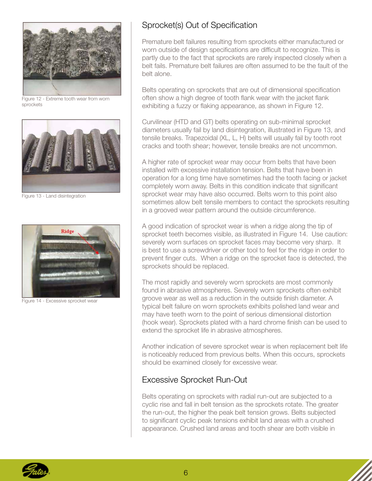<span id="page-5-0"></span>

Figure 12 - Extreme tooth wear from worn sprockets



Figure 13 - Land disintegration



Figure 14 - Excessive sprocket wear

#### Sprocket(s) Out of Specification

Premature belt failures resulting from sprockets either manufactured or worn outside of design specifications are difficult to recognize. This is partly due to the fact that sprockets are rarely inspected closely when a belt fails. Premature belt failures are often assumed to be the fault of the belt alone.

Belts operating on sprockets that are out of dimensional specification often show a high degree of tooth flank wear with the jacket flank exhibiting a fuzzy or flaking appearance, as shown in Figure 12.

Curvilinear (HTD and GT) belts operating on sub-minimal sprocket diameters usually fail by land disintegration, illustrated in Figure 13, and tensile breaks. Trapezoidal (XL, L, H) belts will usually fail by tooth root cracks and tooth shear; however, tensile breaks are not uncommon.

A higher rate of sprocket wear may occur from belts that have been installed with excessive installation tension. Belts that have been in operation for a long time have sometimes had the tooth facing or jacket completely worn away. Belts in this condition indicate that significant sprocket wear may have also occurred. Belts worn to this point also sometimes allow belt tensile members to contact the sprockets resulting in a grooved wear pattern around the outside circumference.

A good indication of sprocket wear is when a ridge along the tip of sprocket teeth becomes visible, as illustrated in Figure 14. Use caution: severely worn surfaces on sprocket faces may become very sharp. It is best to use a screwdriver or other tool to feel for the ridge in order to prevent finger cuts. When a ridge on the sprocket face is detected, the sprockets should be replaced.

The most rapidly and severely worn sprockets are most commonly found in abrasive atmospheres. Severely worn sprockets often exhibit groove wear as well as a reduction in the outside finish diameter. A typical belt failure on worn sprockets exhibits polished land wear and may have teeth worn to the point of serious dimensional distortion (hook wear). Sprockets plated with a hard chrome finish can be used to extend the sprocket life in abrasive atmospheres.

Another indication of severe sprocket wear is when replacement belt life is noticeably reduced from previous belts. When this occurs, sprockets should be examined closely for excessive wear.

#### Excessive Sprocket Run-Out

Belts operating on sprockets with radial run-out are subjected to a cyclic rise and fall in belt tension as the sprockets rotate. The greater the run-out, the higher the peak belt tension grows. Belts subjected to significant cyclic peak tensions exhibit land areas with a crushed appearance. Crushed land areas and tooth shear are both visible in

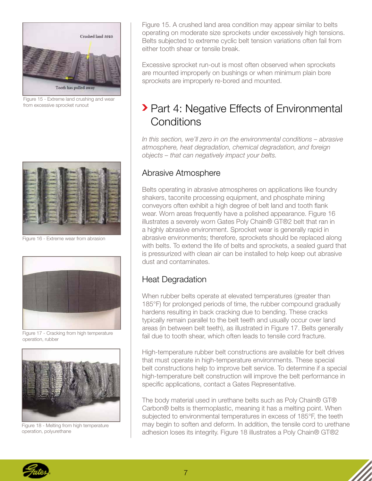<span id="page-6-0"></span>

Figure 15 - Extreme land crushing and wear from excessive sprocket runout



Figure 16 - Extreme wear from abrasion



Figure 17 - Cracking from high temperature operation, rubber



Figure 18 - Melting from high temperature operation, polyurethane

Figure 15. A crushed land area condition may appear similar to belts operating on moderate size sprockets under excessively high tensions. Belts subjected to extreme cyclic belt tension variations often fail from either tooth shear or tensile break.

Excessive sprocket run-out is most often observed when sprockets are mounted improperly on bushings or when minimum plain bore sprockets are improperly re-bored and mounted.

# **> Part 4: Negative Effects of Environmental Conditions**

*In this section, we'll zero in on the environmental conditions – abrasive atmosphere, heat degradation, chemical degradation, and foreign objects – that can negatively impact your belts.*

#### Abrasive Atmosphere

Belts operating in abrasive atmospheres on applications like foundry shakers, taconite processing equipment, and phosphate mining conveyors often exhibit a high degree of belt land and tooth flank wear. Worn areas frequently have a polished appearance. Figure 16 illustrates a severely worn Gates Poly Chain® GT®2 belt that ran in a highly abrasive environment. Sprocket wear is generally rapid in abrasive environments; therefore, sprockets should be replaced along with belts. To extend the life of belts and sprockets, a sealed guard that is pressurized with clean air can be installed to help keep out abrasive dust and contaminates.

#### Heat Degradation

When rubber belts operate at elevated temperatures (greater than 185°F) for prolonged periods of time, the rubber compound gradually hardens resulting in back cracking due to bending. These cracks typically remain parallel to the belt teeth and usually occur over land areas (in between belt teeth), as illustrated in Figure 17. Belts generally fail due to tooth shear, which often leads to tensile cord fracture.

High-temperature rubber belt constructions are available for belt drives that must operate in high-temperature environments. These special belt constructions help to improve belt service. To determine if a special high-temperature belt construction will improve the belt performance in specific applications, contact a Gates Representative.

The body material used in urethane belts such as Poly Chain® GT® Carbon® belts is thermoplastic, meaning it has a melting point. When subjected to environmental temperatures in excess of 185°F, the teeth may begin to soften and deform. In addition, the tensile cord to urethane adhesion loses its integrity. Figure 18 illustrates a Poly Chain® GT®2